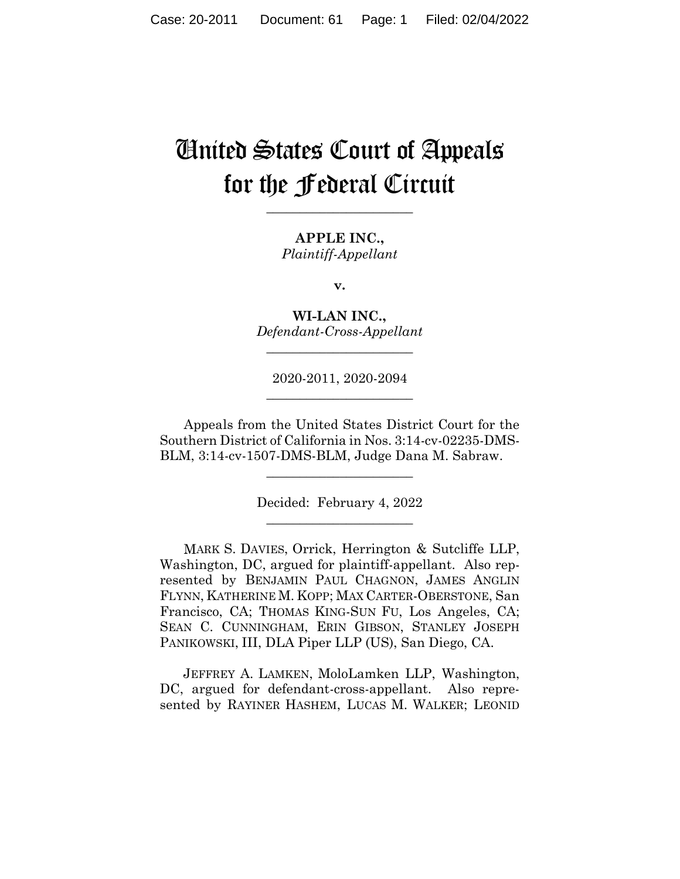# United States Court of Appeals for the Federal Circuit

**\_\_\_\_\_\_\_\_\_\_\_\_\_\_\_\_\_\_\_\_\_\_** 

**APPLE INC.,** *Plaintiff-Appellant*

**v.**

**WI-LAN INC.,** *Defendant-Cross-Appellant*

**\_\_\_\_\_\_\_\_\_\_\_\_\_\_\_\_\_\_\_\_\_\_** 

2020-2011, 2020-2094 **\_\_\_\_\_\_\_\_\_\_\_\_\_\_\_\_\_\_\_\_\_\_** 

Appeals from the United States District Court for the Southern District of California in Nos. 3:14-cv-02235-DMS-BLM, 3:14-cv-1507-DMS-BLM, Judge Dana M. Sabraw.

> Decided: February 4, 2022 \_\_\_\_\_\_\_\_\_\_\_\_\_\_\_\_\_\_\_\_\_\_

\_\_\_\_\_\_\_\_\_\_\_\_\_\_\_\_\_\_\_\_\_\_

MARK S. DAVIES, Orrick, Herrington & Sutcliffe LLP, Washington, DC, argued for plaintiff-appellant. Also represented by BENJAMIN PAUL CHAGNON, JAMES ANGLIN FLYNN, KATHERINE M. KOPP; MAX CARTER-OBERSTONE, San Francisco, CA; THOMAS KING-SUN FU, Los Angeles, CA; SEAN C. CUNNINGHAM, ERIN GIBSON, STANLEY JOSEPH PANIKOWSKI, III, DLA Piper LLP (US), San Diego, CA.

 JEFFREY A. LAMKEN, MoloLamken LLP, Washington, DC, argued for defendant-cross-appellant. Also represented by RAYINER HASHEM, LUCAS M. WALKER; LEONID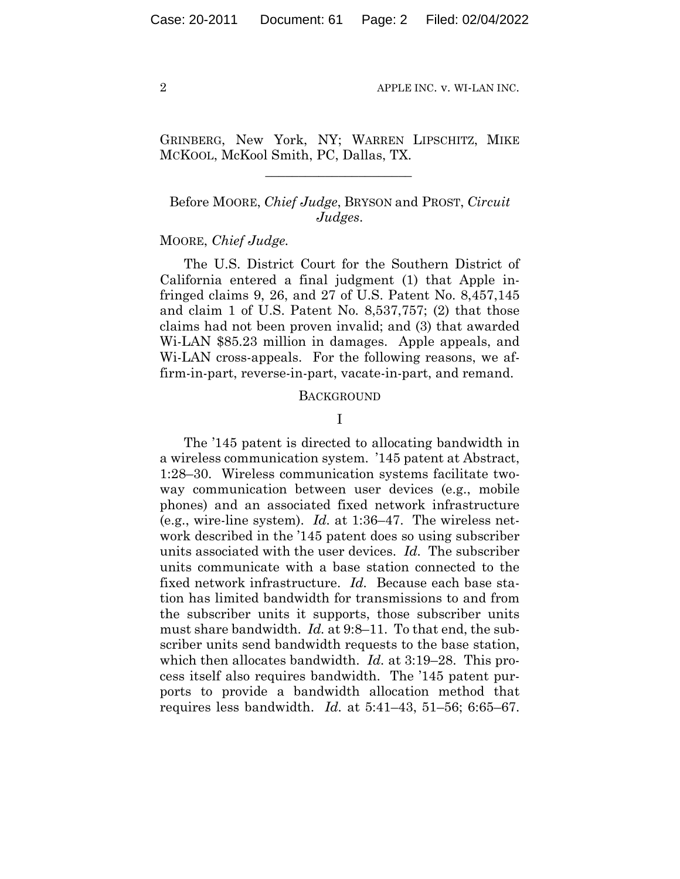GRINBERG, New York, NY; WARREN LIPSCHITZ, MIKE MCKOOL, McKool Smith, PC, Dallas, TX.

 $\mathcal{L}_\text{max}$  and  $\mathcal{L}_\text{max}$  and  $\mathcal{L}_\text{max}$  and  $\mathcal{L}_\text{max}$ 

# Before MOORE, *Chief Judge*, BRYSON and PROST, *Circuit Judges*.

### MOORE, *Chief Judge.*

The U.S. District Court for the Southern District of California entered a final judgment (1) that Apple infringed claims 9, 26, and 27 of U.S. Patent No. 8,457,145 and claim 1 of U.S. Patent No. 8,537,757; (2) that those claims had not been proven invalid; and (3) that awarded Wi-LAN \$85.23 million in damages. Apple appeals, and Wi-LAN cross-appeals. For the following reasons, we affirm-in-part, reverse-in-part, vacate-in-part, and remand.

#### **BACKGROUND**

#### I

The '145 patent is directed to allocating bandwidth in a wireless communication system. '145 patent at Abstract, 1:28–30. Wireless communication systems facilitate twoway communication between user devices (e.g., mobile phones) and an associated fixed network infrastructure (e.g., wire-line system). *Id.* at 1:36–47. The wireless network described in the '145 patent does so using subscriber units associated with the user devices. *Id.* The subscriber units communicate with a base station connected to the fixed network infrastructure. *Id.* Because each base station has limited bandwidth for transmissions to and from the subscriber units it supports, those subscriber units must share bandwidth. *Id.* at 9:8–11. To that end, the subscriber units send bandwidth requests to the base station, which then allocates bandwidth. *Id.* at 3:19–28. This process itself also requires bandwidth. The '145 patent purports to provide a bandwidth allocation method that requires less bandwidth. *Id.* at 5:41–43, 51–56; 6:65–67.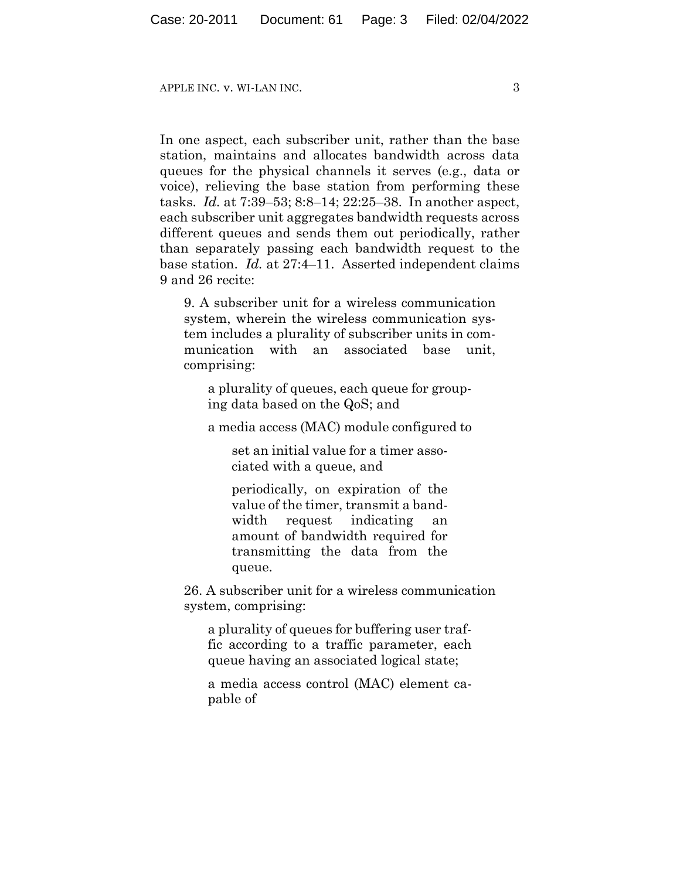APPLE INC. v. WI-LAN INC.  $\overline{3}$ 

In one aspect, each subscriber unit, rather than the base station, maintains and allocates bandwidth across data queues for the physical channels it serves (e.g., data or voice), relieving the base station from performing these tasks. *Id.* at 7:39–53; 8:8–14; 22:25–38. In another aspect, each subscriber unit aggregates bandwidth requests across different queues and sends them out periodically, rather than separately passing each bandwidth request to the base station. *Id.* at 27:4–11. Asserted independent claims 9 and 26 recite:

9. A subscriber unit for a wireless communication system, wherein the wireless communication system includes a plurality of subscriber units in communication with an associated base unit, comprising:

a plurality of queues, each queue for grouping data based on the QoS; and

a media access (MAC) module configured to

set an initial value for a timer associated with a queue, and

periodically, on expiration of the value of the timer, transmit a bandwidth request indicating an amount of bandwidth required for transmitting the data from the queue.

26. A subscriber unit for a wireless communication system, comprising:

a plurality of queues for buffering user traffic according to a traffic parameter, each queue having an associated logical state;

a media access control (MAC) element capable of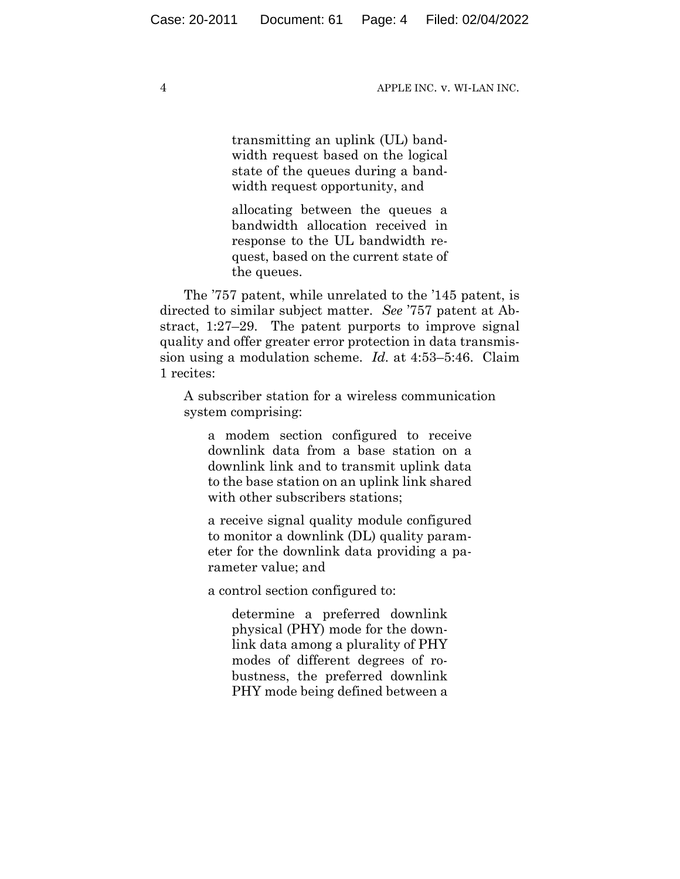transmitting an uplink (UL) bandwidth request based on the logical state of the queues during a bandwidth request opportunity, and

allocating between the queues a bandwidth allocation received in response to the UL bandwidth request, based on the current state of the queues.

The '757 patent, while unrelated to the '145 patent, is directed to similar subject matter. *See* '757 patent at Abstract, 1:27–29. The patent purports to improve signal quality and offer greater error protection in data transmission using a modulation scheme. *Id.* at 4:53–5:46. Claim 1 recites:

A subscriber station for a wireless communication system comprising:

a modem section configured to receive downlink data from a base station on a downlink link and to transmit uplink data to the base station on an uplink link shared with other subscribers stations;

a receive signal quality module configured to monitor a downlink (DL) quality parameter for the downlink data providing a parameter value; and

a control section configured to:

determine a preferred downlink physical (PHY) mode for the downlink data among a plurality of PHY modes of different degrees of robustness, the preferred downlink PHY mode being defined between a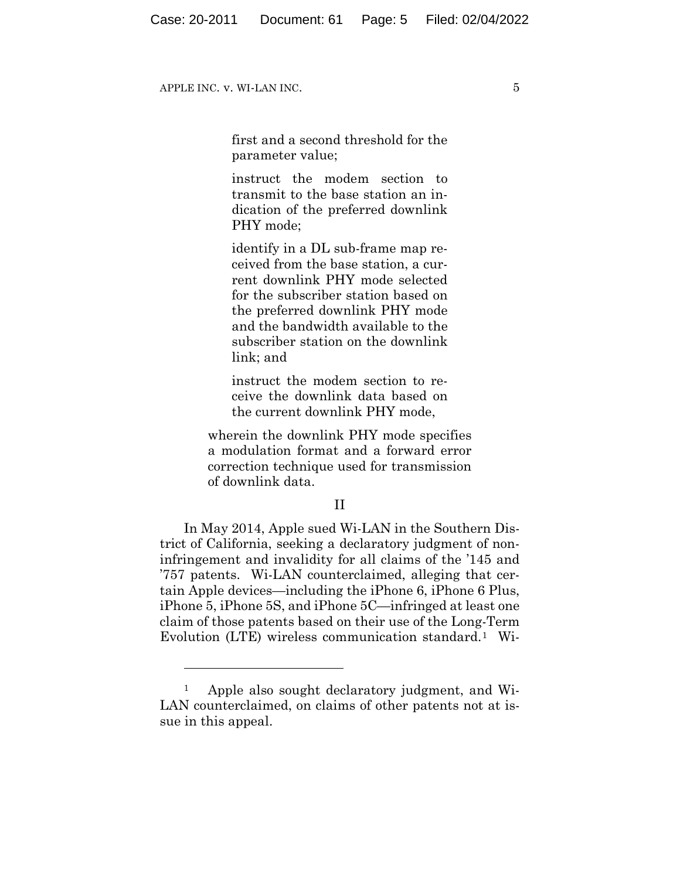first and a second threshold for the parameter value;

instruct the modem section to transmit to the base station an indication of the preferred downlink PHY mode;

identify in a DL sub-frame map received from the base station, a current downlink PHY mode selected for the subscriber station based on the preferred downlink PHY mode and the bandwidth available to the subscriber station on the downlink link; and

instruct the modem section to receive the downlink data based on the current downlink PHY mode,

wherein the downlink PHY mode specifies a modulation format and a forward error correction technique used for transmission of downlink data.

#### II

In May 2014, Apple sued Wi-LAN in the Southern District of California, seeking a declaratory judgment of noninfringement and invalidity for all claims of the '145 and '757 patents. Wi-LAN counterclaimed, alleging that certain Apple devices—including the iPhone 6, iPhone 6 Plus, iPhone 5, iPhone 5S, and iPhone 5C—infringed at least one claim of those patents based on their use of the Long-Term Evolution (LTE) wireless communication standard.1 Wi-

<sup>1</sup> Apple also sought declaratory judgment, and Wi-LAN counterclaimed, on claims of other patents not at issue in this appeal.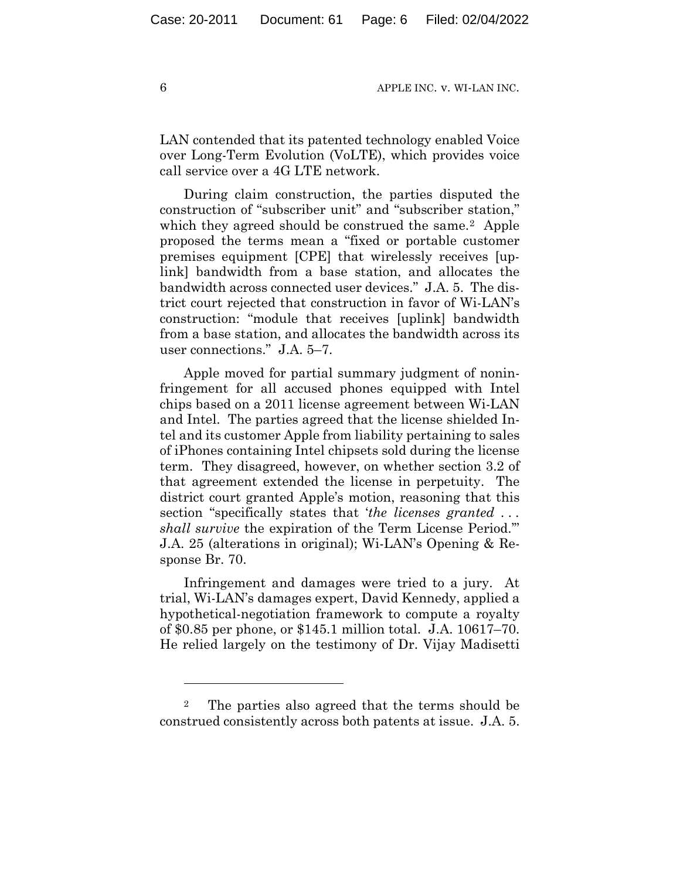LAN contended that its patented technology enabled Voice over Long-Term Evolution (VoLTE), which provides voice call service over a 4G LTE network.

During claim construction, the parties disputed the construction of "subscriber unit" and "subscriber station," which they agreed should be construed the same.<sup>2</sup> Apple proposed the terms mean a "fixed or portable customer premises equipment [CPE] that wirelessly receives [uplink] bandwidth from a base station, and allocates the bandwidth across connected user devices." J.A. 5. The district court rejected that construction in favor of Wi-LAN's construction: "module that receives [uplink] bandwidth from a base station, and allocates the bandwidth across its user connections." J.A. 5–7.

Apple moved for partial summary judgment of noninfringement for all accused phones equipped with Intel chips based on a 2011 license agreement between Wi-LAN and Intel. The parties agreed that the license shielded Intel and its customer Apple from liability pertaining to sales of iPhones containing Intel chipsets sold during the license term. They disagreed, however, on whether section 3.2 of that agreement extended the license in perpetuity. The district court granted Apple's motion, reasoning that this section "specifically states that '*the licenses granted . . . shall survive* the expiration of the Term License Period.'" J.A. 25 (alterations in original); Wi-LAN's Opening & Response Br. 70.

Infringement and damages were tried to a jury. At trial, Wi-LAN's damages expert, David Kennedy, applied a hypothetical-negotiation framework to compute a royalty of \$0.85 per phone, or \$145.1 million total. J.A. 10617–70. He relied largely on the testimony of Dr. Vijay Madisetti

<sup>2</sup> The parties also agreed that the terms should be construed consistently across both patents at issue. J.A. 5.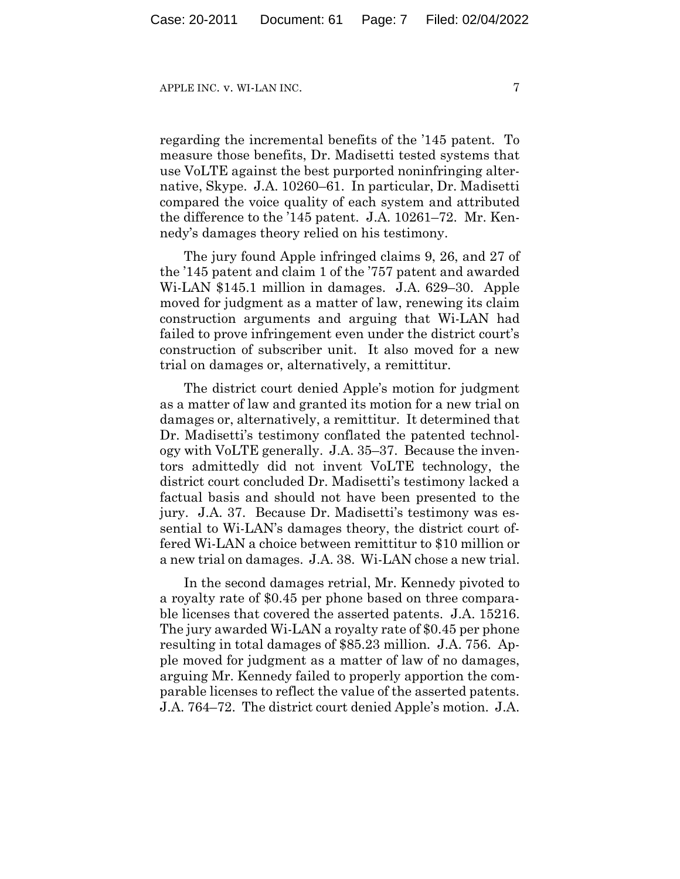regarding the incremental benefits of the '145 patent. To measure those benefits, Dr. Madisetti tested systems that use VoLTE against the best purported noninfringing alternative, Skype. J.A. 10260–61. In particular, Dr. Madisetti compared the voice quality of each system and attributed the difference to the '145 patent. J.A. 10261–72. Mr. Kennedy's damages theory relied on his testimony.

The jury found Apple infringed claims 9, 26, and 27 of the '145 patent and claim 1 of the '757 patent and awarded Wi-LAN \$145.1 million in damages. J.A. 629–30. Apple moved for judgment as a matter of law, renewing its claim construction arguments and arguing that Wi-LAN had failed to prove infringement even under the district court's construction of subscriber unit. It also moved for a new trial on damages or, alternatively, a remittitur.

The district court denied Apple's motion for judgment as a matter of law and granted its motion for a new trial on damages or, alternatively, a remittitur. It determined that Dr. Madisetti's testimony conflated the patented technology with VoLTE generally. J.A. 35–37. Because the inventors admittedly did not invent VoLTE technology, the district court concluded Dr. Madisetti's testimony lacked a factual basis and should not have been presented to the jury. J.A. 37. Because Dr. Madisetti's testimony was essential to Wi-LAN's damages theory, the district court offered Wi-LAN a choice between remittitur to \$10 million or a new trial on damages. J.A. 38. Wi-LAN chose a new trial.

In the second damages retrial, Mr. Kennedy pivoted to a royalty rate of \$0.45 per phone based on three comparable licenses that covered the asserted patents. J.A. 15216. The jury awarded Wi-LAN a royalty rate of \$0.45 per phone resulting in total damages of \$85.23 million. J.A. 756. Apple moved for judgment as a matter of law of no damages, arguing Mr. Kennedy failed to properly apportion the comparable licenses to reflect the value of the asserted patents. J.A. 764–72. The district court denied Apple's motion. J.A.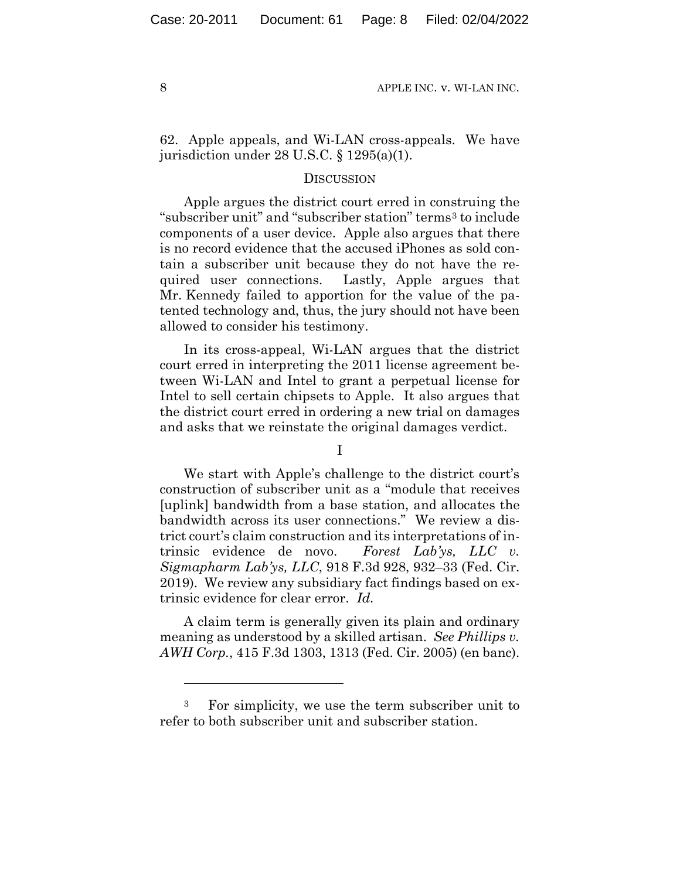62. Apple appeals, and Wi-LAN cross-appeals. We have jurisdiction under 28 U.S.C. § 1295(a)(1).

#### **DISCUSSION**

Apple argues the district court erred in construing the "subscriber unit" and "subscriber station" terms<sup>3</sup> to include components of a user device. Apple also argues that there is no record evidence that the accused iPhones as sold contain a subscriber unit because they do not have the required user connections. Lastly, Apple argues that Mr. Kennedy failed to apportion for the value of the patented technology and, thus, the jury should not have been allowed to consider his testimony.

In its cross-appeal, Wi-LAN argues that the district court erred in interpreting the 2011 license agreement between Wi-LAN and Intel to grant a perpetual license for Intel to sell certain chipsets to Apple. It also argues that the district court erred in ordering a new trial on damages and asks that we reinstate the original damages verdict.

I

We start with Apple's challenge to the district court's construction of subscriber unit as a "module that receives [uplink] bandwidth from a base station, and allocates the bandwidth across its user connections." We review a district court's claim construction and its interpretations of intrinsic evidence de novo. *Forest Lab'ys, LLC v. Sigmapharm Lab'ys, LLC*, 918 F.3d 928, 932–33 (Fed. Cir. 2019). We review any subsidiary fact findings based on extrinsic evidence for clear error. *Id.*

A claim term is generally given its plain and ordinary meaning as understood by a skilled artisan. *See Phillips v. AWH Corp.*, 415 F.3d 1303, 1313 (Fed. Cir. 2005) (en banc).

<sup>3</sup> For simplicity, we use the term subscriber unit to refer to both subscriber unit and subscriber station.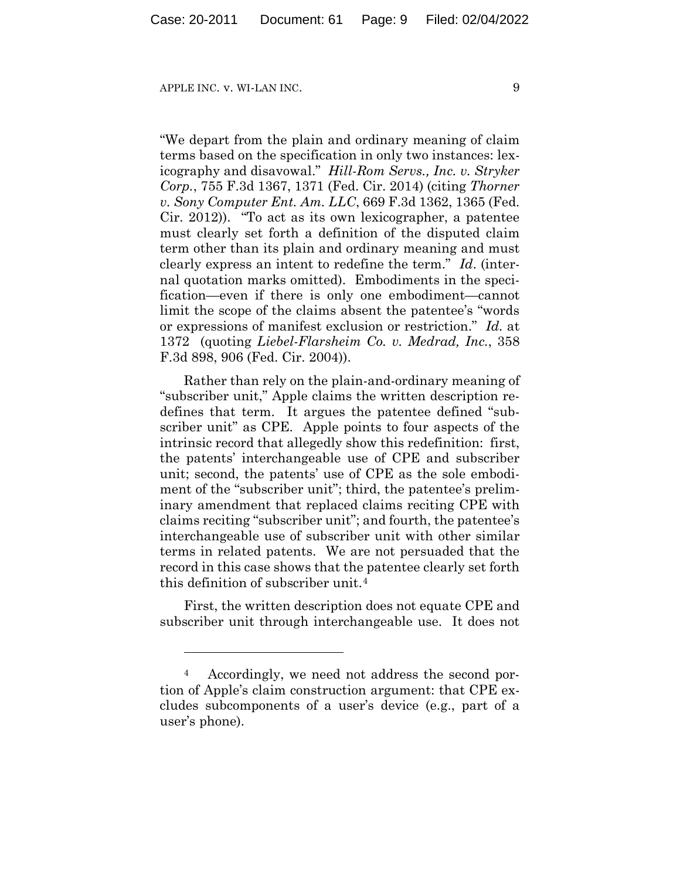"We depart from the plain and ordinary meaning of claim terms based on the specification in only two instances: lexicography and disavowal." *Hill-Rom Servs., Inc. v. Stryker Corp.*, 755 F.3d 1367, 1371 (Fed. Cir. 2014) (citing *Thorner v. Sony Computer Ent. Am. LLC*, 669 F.3d 1362, 1365 (Fed. Cir. 2012))."To act as its own lexicographer, a patentee must clearly set forth a definition of the disputed claim term other than its plain and ordinary meaning and must clearly express an intent to redefine the term." *Id*. (internal quotation marks omitted). Embodiments in the specification—even if there is only one embodiment—cannot limit the scope of the claims absent the patentee's "words or expressions of manifest exclusion or restriction." *Id.* at 1372 (quoting *Liebel-Flarsheim Co. v. Medrad, Inc.*, 358 F.3d 898, 906 (Fed. Cir. 2004)).

Rather than rely on the plain-and-ordinary meaning of "subscriber unit," Apple claims the written description redefines that term. It argues the patentee defined "subscriber unit" as CPE. Apple points to four aspects of the intrinsic record that allegedly show this redefinition: first, the patents' interchangeable use of CPE and subscriber unit; second, the patents' use of CPE as the sole embodiment of the "subscriber unit"; third, the patentee's preliminary amendment that replaced claims reciting CPE with claims reciting "subscriber unit"; and fourth, the patentee's interchangeable use of subscriber unit with other similar terms in related patents. We are not persuaded that the record in this case shows that the patentee clearly set forth this definition of subscriber unit.4

First, the written description does not equate CPE and subscriber unit through interchangeable use. It does not

<sup>4</sup> Accordingly, we need not address the second portion of Apple's claim construction argument: that CPE excludes subcomponents of a user's device (e.g., part of a user's phone).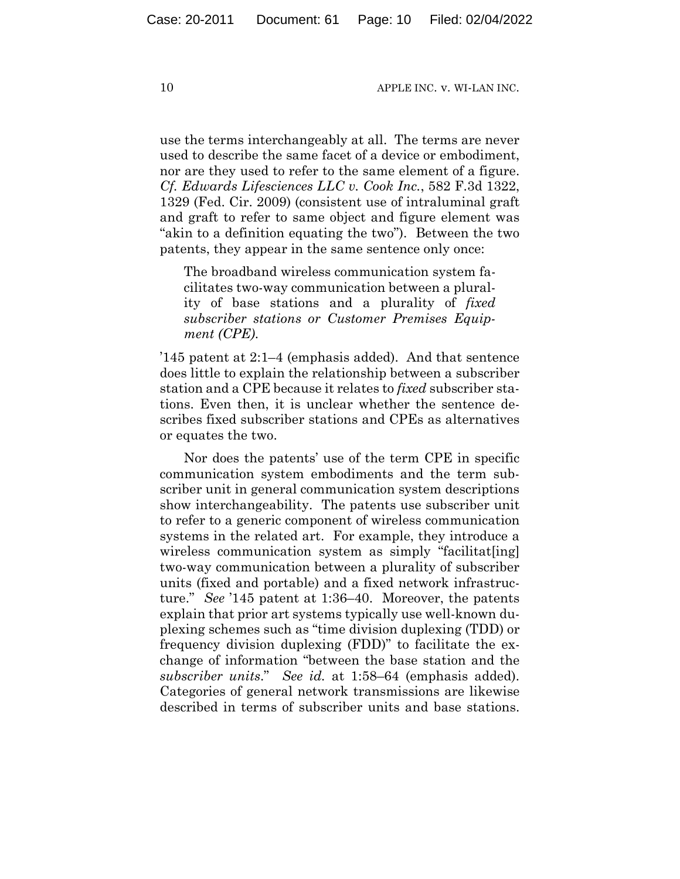use the terms interchangeably at all. The terms are never used to describe the same facet of a device or embodiment, nor are they used to refer to the same element of a figure. *Cf. Edwards Lifesciences LLC v. Cook Inc.*, 582 F.3d 1322, 1329 (Fed. Cir. 2009) (consistent use of intraluminal graft and graft to refer to same object and figure element was "akin to a definition equating the two"). Between the two patents, they appear in the same sentence only once:

The broadband wireless communication system facilitates two-way communication between a plurality of base stations and a plurality of *fixed subscriber stations or Customer Premises Equipment (CPE)*.

'145 patent at 2:1–4 (emphasis added). And that sentence does little to explain the relationship between a subscriber station and a CPE because it relates to *fixed* subscriber stations. Even then, it is unclear whether the sentence describes fixed subscriber stations and CPEs as alternatives or equates the two.

Nor does the patents' use of the term CPE in specific communication system embodiments and the term subscriber unit in general communication system descriptions show interchangeability. The patents use subscriber unit to refer to a generic component of wireless communication systems in the related art. For example, they introduce a wireless communication system as simply "facilitat[ing] two-way communication between a plurality of subscriber units (fixed and portable) and a fixed network infrastructure." *See* '145 patent at 1:36–40. Moreover, the patents explain that prior art systems typically use well-known duplexing schemes such as "time division duplexing (TDD) or frequency division duplexing (FDD)" to facilitate the exchange of information "between the base station and the *subscriber units*." *See id.* at 1:58–64 (emphasis added). Categories of general network transmissions are likewise described in terms of subscriber units and base stations.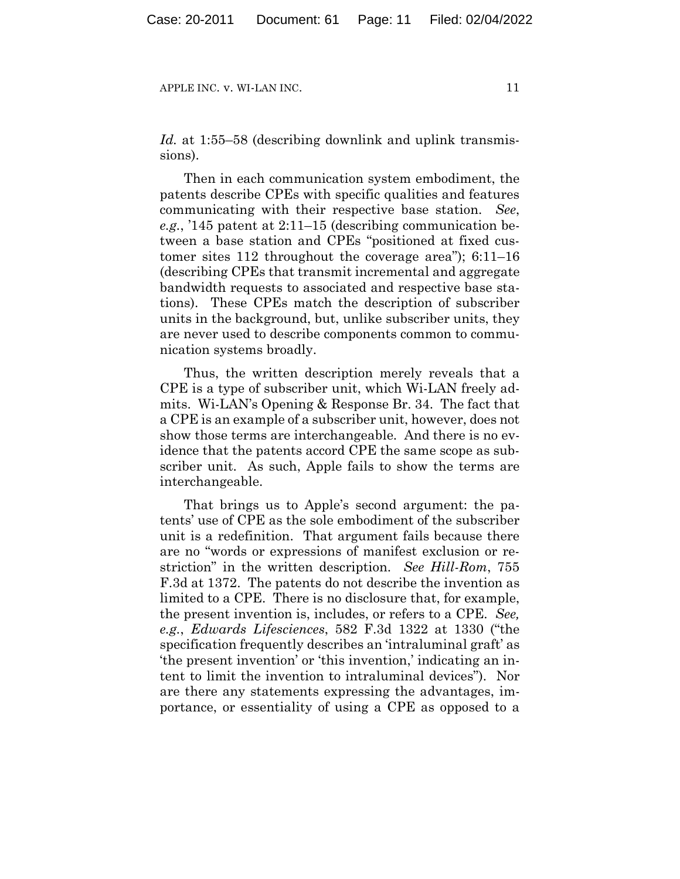*Id.* at 1:55–58 (describing downlink and uplink transmissions).

Then in each communication system embodiment, the patents describe CPEs with specific qualities and features communicating with their respective base station. *See*, *e.g.*, '145 patent at 2:11–15 (describing communication between a base station and CPEs "positioned at fixed customer sites 112 throughout the coverage area"); 6:11–16 (describing CPEs that transmit incremental and aggregate bandwidth requests to associated and respective base stations). These CPEs match the description of subscriber units in the background, but, unlike subscriber units, they are never used to describe components common to communication systems broadly.

Thus, the written description merely reveals that a CPE is a type of subscriber unit, which Wi-LAN freely admits. Wi-LAN's Opening & Response Br. 34. The fact that a CPE is an example of a subscriber unit, however, does not show those terms are interchangeable. And there is no evidence that the patents accord CPE the same scope as subscriber unit. As such, Apple fails to show the terms are interchangeable.

That brings us to Apple's second argument: the patents' use of CPE as the sole embodiment of the subscriber unit is a redefinition. That argument fails because there are no "words or expressions of manifest exclusion or restriction" in the written description. *See Hill-Rom*, 755 F.3d at 1372. The patents do not describe the invention as limited to a CPE. There is no disclosure that, for example, the present invention is, includes, or refers to a CPE. *See, e.g.*, *Edwards Lifesciences*, 582 F.3d 1322 at 1330 ("the specification frequently describes an 'intraluminal graft' as 'the present invention' or 'this invention,' indicating an intent to limit the invention to intraluminal devices"). Nor are there any statements expressing the advantages, importance, or essentiality of using a CPE as opposed to a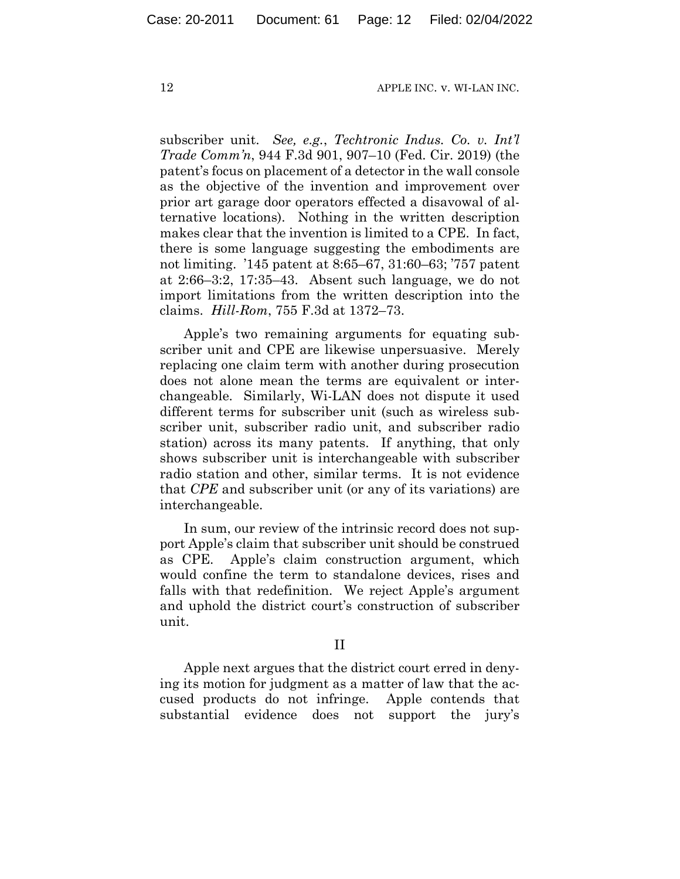subscriber unit. *See, e.g.*, *Techtronic Indus. Co. v. Int'l Trade Comm'n*, 944 F.3d 901, 907–10 (Fed. Cir. 2019) (the patent's focus on placement of a detector in the wall console as the objective of the invention and improvement over prior art garage door operators effected a disavowal of alternative locations). Nothing in the written description makes clear that the invention is limited to a CPE. In fact, there is some language suggesting the embodiments are not limiting. '145 patent at 8:65–67, 31:60–63; '757 patent at 2:66–3:2, 17:35–43. Absent such language, we do not import limitations from the written description into the claims. *Hill-Rom*, 755 F.3d at 1372–73.

Apple's two remaining arguments for equating subscriber unit and CPE are likewise unpersuasive. Merely replacing one claim term with another during prosecution does not alone mean the terms are equivalent or interchangeable. Similarly, Wi-LAN does not dispute it used different terms for subscriber unit (such as wireless subscriber unit, subscriber radio unit, and subscriber radio station) across its many patents. If anything, that only shows subscriber unit is interchangeable with subscriber radio station and other, similar terms. It is not evidence that *CPE* and subscriber unit (or any of its variations) are interchangeable.

In sum, our review of the intrinsic record does not support Apple's claim that subscriber unit should be construed as CPE. Apple's claim construction argument, which would confine the term to standalone devices, rises and falls with that redefinition. We reject Apple's argument and uphold the district court's construction of subscriber unit.

II

Apple next argues that the district court erred in denying its motion for judgment as a matter of law that the accused products do not infringe. Apple contends that substantial evidence does not support the jury's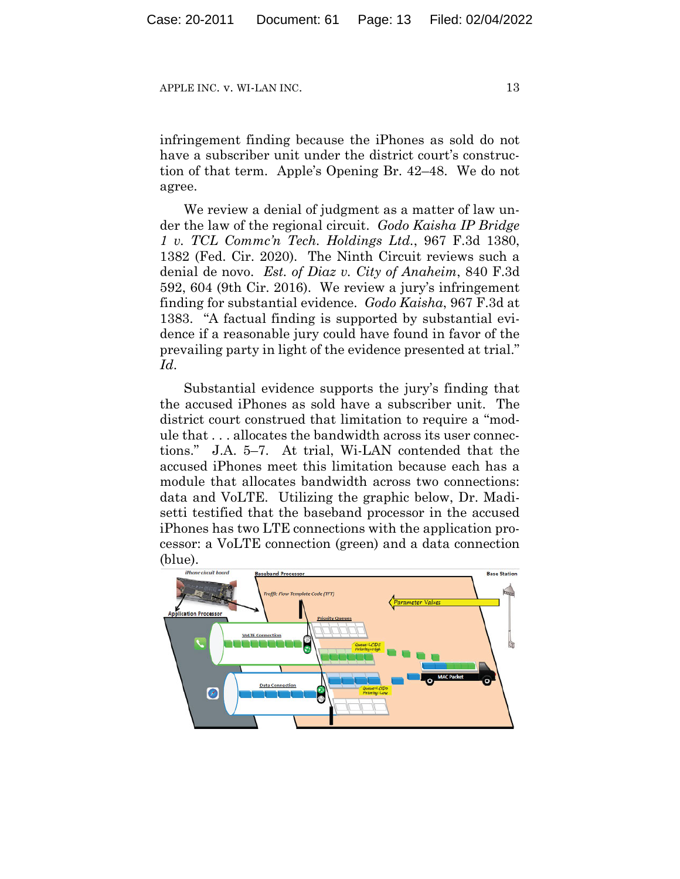infringement finding because the iPhones as sold do not have a subscriber unit under the district court's construction of that term. Apple's Opening Br. 42–48. We do not agree.

We review a denial of judgment as a matter of law under the law of the regional circuit. *Godo Kaisha IP Bridge 1 v. TCL Commc'n Tech. Holdings Ltd.*, 967 F.3d 1380, 1382 (Fed. Cir. 2020). The Ninth Circuit reviews such a denial de novo. *Est. of Diaz v. City of Anaheim*, 840 F.3d 592, 604 (9th Cir. 2016). We review a jury's infringement finding for substantial evidence. *Godo Kaisha*, 967 F.3d at 1383. "A factual finding is supported by substantial evidence if a reasonable jury could have found in favor of the prevailing party in light of the evidence presented at trial." *Id*.

Substantial evidence supports the jury's finding that the accused iPhones as sold have a subscriber unit. The district court construed that limitation to require a "module that . . . allocates the bandwidth across its user connections." J.A. 5–7. At trial, Wi-LAN contended that the accused iPhones meet this limitation because each has a module that allocates bandwidth across two connections: data and VoLTE. Utilizing the graphic below, Dr. Madisetti testified that the baseband processor in the accused iPhones has two LTE connections with the application processor: a VoLTE connection (green) and a data connection (blue).

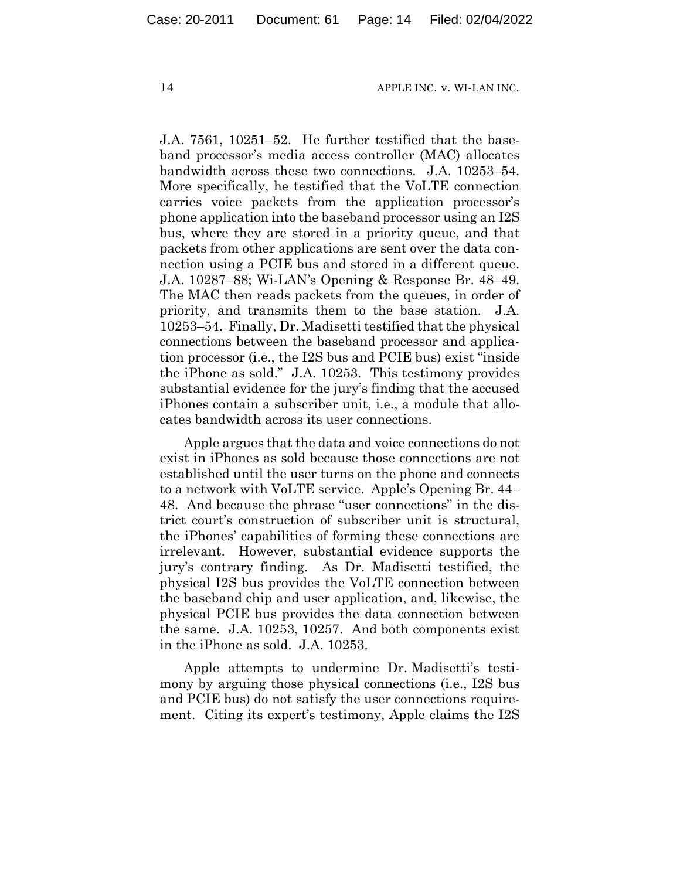J.A. 7561, 10251–52. He further testified that the baseband processor's media access controller (MAC) allocates bandwidth across these two connections. J.A. 10253–54. More specifically, he testified that the VoLTE connection carries voice packets from the application processor's phone application into the baseband processor using an I2S bus, where they are stored in a priority queue, and that packets from other applications are sent over the data connection using a PCIE bus and stored in a different queue. J.A. 10287–88; Wi-LAN's Opening & Response Br. 48–49. The MAC then reads packets from the queues, in order of priority, and transmits them to the base station. J.A. 10253–54. Finally, Dr. Madisetti testified that the physical connections between the baseband processor and application processor (i.e., the I2S bus and PCIE bus) exist "inside the iPhone as sold." J.A. 10253. This testimony provides substantial evidence for the jury's finding that the accused iPhones contain a subscriber unit, i.e., a module that allocates bandwidth across its user connections.

Apple argues that the data and voice connections do not exist in iPhones as sold because those connections are not established until the user turns on the phone and connects to a network with VoLTE service. Apple's Opening Br. 44– 48. And because the phrase "user connections" in the district court's construction of subscriber unit is structural, the iPhones' capabilities of forming these connections are irrelevant. However, substantial evidence supports the jury's contrary finding. As Dr. Madisetti testified, the physical I2S bus provides the VoLTE connection between the baseband chip and user application, and, likewise, the physical PCIE bus provides the data connection between the same. J.A. 10253, 10257. And both components exist in the iPhone as sold. J.A. 10253.

Apple attempts to undermine Dr. Madisetti's testimony by arguing those physical connections (i.e., I2S bus and PCIE bus) do not satisfy the user connections requirement. Citing its expert's testimony, Apple claims the I2S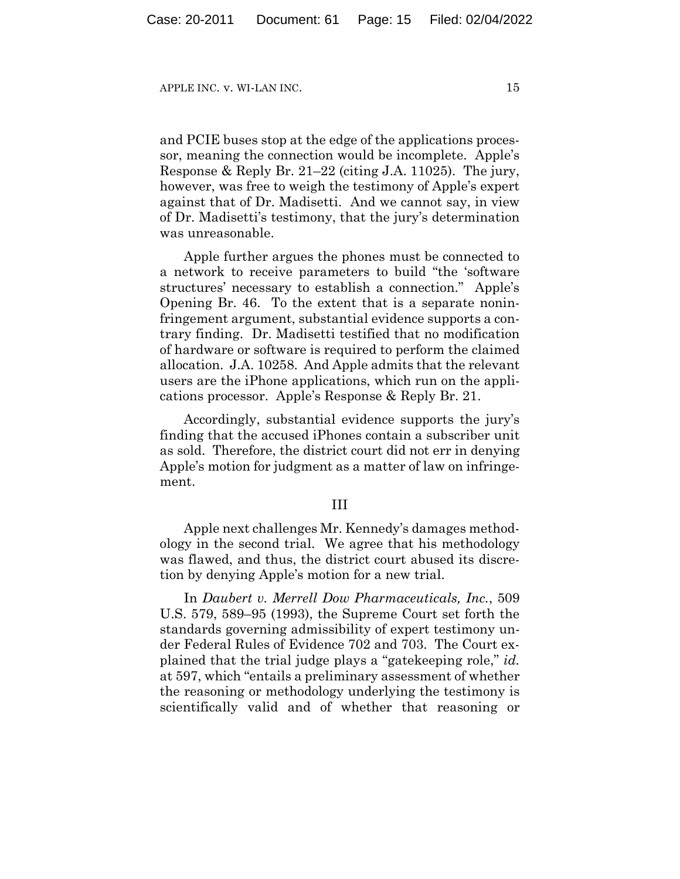and PCIE buses stop at the edge of the applications processor, meaning the connection would be incomplete. Apple's Response & Reply Br. 21–22 (citing J.A. 11025). The jury, however, was free to weigh the testimony of Apple's expert against that of Dr. Madisetti. And we cannot say, in view of Dr. Madisetti's testimony, that the jury's determination was unreasonable.

Apple further argues the phones must be connected to a network to receive parameters to build "the 'software structures' necessary to establish a connection." Apple's Opening Br. 46. To the extent that is a separate noninfringement argument, substantial evidence supports a contrary finding. Dr. Madisetti testified that no modification of hardware or software is required to perform the claimed allocation. J.A. 10258. And Apple admits that the relevant users are the iPhone applications, which run on the applications processor. Apple's Response & Reply Br. 21.

Accordingly, substantial evidence supports the jury's finding that the accused iPhones contain a subscriber unit as sold. Therefore, the district court did not err in denying Apple's motion for judgment as a matter of law on infringement.

#### III

Apple next challenges Mr. Kennedy's damages methodology in the second trial. We agree that his methodology was flawed, and thus, the district court abused its discretion by denying Apple's motion for a new trial.

In *Daubert v. Merrell Dow Pharmaceuticals, Inc.*, 509 U.S. 579, 589–95 (1993), the Supreme Court set forth the standards governing admissibility of expert testimony under Federal Rules of Evidence 702 and 703. The Court explained that the trial judge plays a "gatekeeping role," *id.* at 597, which "entails a preliminary assessment of whether the reasoning or methodology underlying the testimony is scientifically valid and of whether that reasoning or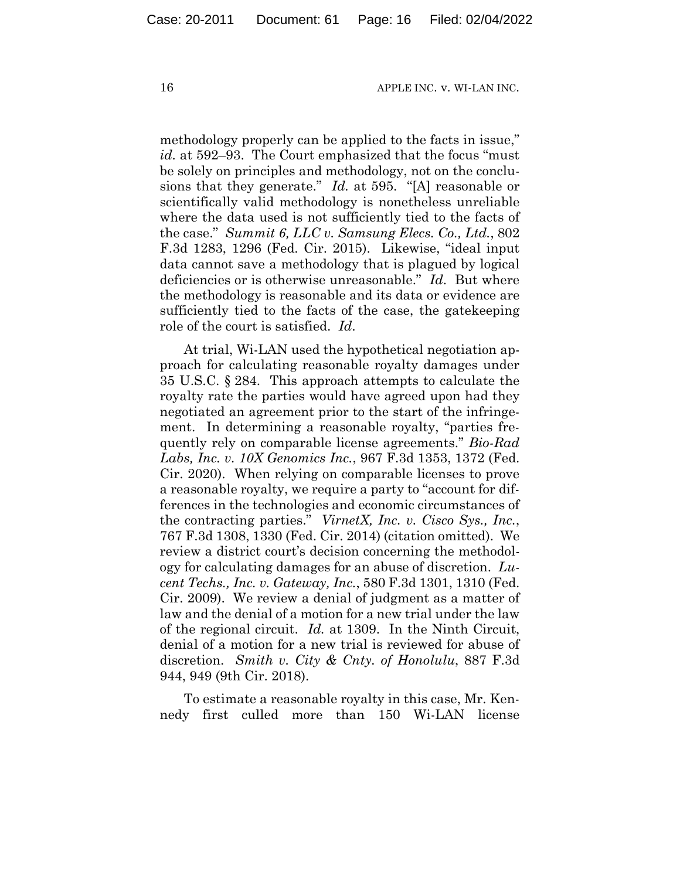methodology properly can be applied to the facts in issue," *id.* at 592–93. The Court emphasized that the focus "must be solely on principles and methodology, not on the conclusions that they generate." *Id.* at 595. "[A] reasonable or scientifically valid methodology is nonetheless unreliable where the data used is not sufficiently tied to the facts of the case." *Summit 6, LLC v. Samsung Elecs. Co., Ltd.*, 802 F.3d 1283, 1296 (Fed. Cir. 2015). Likewise, "ideal input data cannot save a methodology that is plagued by logical deficiencies or is otherwise unreasonable." *Id*.But where the methodology is reasonable and its data or evidence are sufficiently tied to the facts of the case, the gatekeeping role of the court is satisfied. *Id*.

At trial, Wi-LAN used the hypothetical negotiation approach for calculating reasonable royalty damages under 35 U.S.C. § 284. This approach attempts to calculate the royalty rate the parties would have agreed upon had they negotiated an agreement prior to the start of the infringement. In determining a reasonable royalty, "parties frequently rely on comparable license agreements." *Bio-Rad Labs, Inc. v. 10X Genomics Inc.*, 967 F.3d 1353, 1372 (Fed. Cir. 2020). When relying on comparable licenses to prove a reasonable royalty, we require a party to "account for differences in the technologies and economic circumstances of the contracting parties." *VirnetX, Inc. v. Cisco Sys., Inc.*, 767 F.3d 1308, 1330 (Fed. Cir. 2014) (citation omitted). We review a district court's decision concerning the methodology for calculating damages for an abuse of discretion. *Lucent Techs., Inc. v. Gateway, Inc.*, 580 F.3d 1301, 1310 (Fed. Cir. 2009). We review a denial of judgment as a matter of law and the denial of a motion for a new trial under the law of the regional circuit. *Id.* at 1309. In the Ninth Circuit, denial of a motion for a new trial is reviewed for abuse of discretion. *Smith v. City & Cnty. of Honolulu*, 887 F.3d 944, 949 (9th Cir. 2018).

To estimate a reasonable royalty in this case, Mr. Kennedy first culled more than 150 Wi-LAN license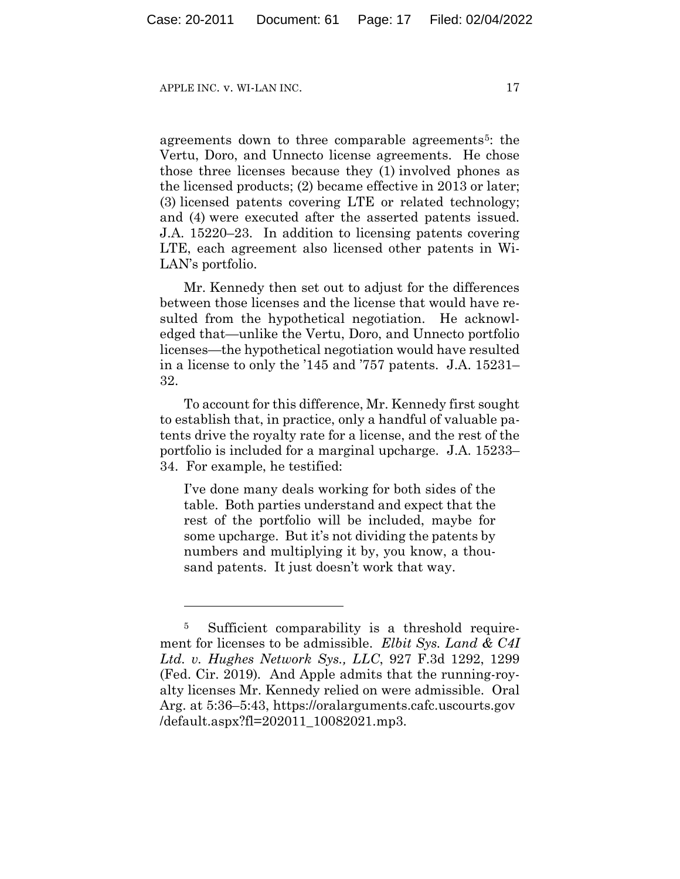agreements down to three comparable agreements<sup>5</sup>: the Vertu, Doro, and Unnecto license agreements. He chose those three licenses because they (1) involved phones as the licensed products; (2) became effective in 2013 or later; (3) licensed patents covering LTE or related technology; and (4) were executed after the asserted patents issued. J.A. 15220–23. In addition to licensing patents covering LTE, each agreement also licensed other patents in Wi-LAN's portfolio.

Mr. Kennedy then set out to adjust for the differences between those licenses and the license that would have resulted from the hypothetical negotiation. He acknowledged that—unlike the Vertu, Doro, and Unnecto portfolio licenses—the hypothetical negotiation would have resulted in a license to only the '145 and '757 patents. J.A. 15231– 32.

To account for this difference, Mr. Kennedy first sought to establish that, in practice, only a handful of valuable patents drive the royalty rate for a license, and the rest of the portfolio is included for a marginal upcharge. J.A. 15233– 34. For example, he testified:

I've done many deals working for both sides of the table. Both parties understand and expect that the rest of the portfolio will be included, maybe for some upcharge. But it's not dividing the patents by numbers and multiplying it by, you know, a thousand patents. It just doesn't work that way.

<sup>&</sup>lt;sup>5</sup> Sufficient comparability is a threshold requirement for licenses to be admissible. *Elbit Sys. Land & C4I Ltd. v. Hughes Network Sys., LLC*, 927 F.3d 1292, 1299 (Fed. Cir. 2019)*.* And Apple admits that the running-royalty licenses Mr. Kennedy relied on were admissible. Oral Arg. at 5:36–5:43, https://oralarguments.cafc.uscourts.gov /default.aspx?fl=202011\_10082021.mp3.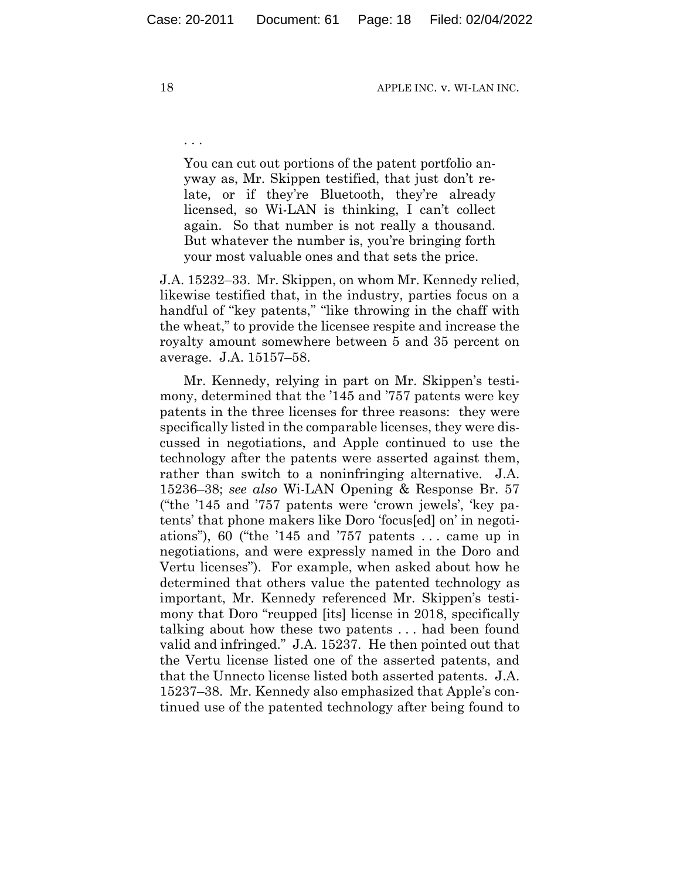You can cut out portions of the patent portfolio anyway as, Mr. Skippen testified, that just don't relate, or if they're Bluetooth, they're already licensed, so Wi-LAN is thinking, I can't collect again. So that number is not really a thousand. But whatever the number is, you're bringing forth your most valuable ones and that sets the price.

J.A. 15232–33. Mr. Skippen, on whom Mr. Kennedy relied, likewise testified that, in the industry, parties focus on a handful of "key patents," "like throwing in the chaff with the wheat," to provide the licensee respite and increase the royalty amount somewhere between 5 and 35 percent on average. J.A. 15157–58.

Mr. Kennedy, relying in part on Mr. Skippen's testimony, determined that the '145 and '757 patents were key patents in the three licenses for three reasons: they were specifically listed in the comparable licenses, they were discussed in negotiations, and Apple continued to use the technology after the patents were asserted against them, rather than switch to a noninfringing alternative. J.A. 15236–38; *see also* Wi-LAN Opening & Response Br. 57 ("the '145 and '757 patents were 'crown jewels', 'key patents' that phone makers like Doro 'focus[ed] on' in negotiations"), 60 ("the '145 and '757 patents  $\dots$  came up in negotiations, and were expressly named in the Doro and Vertu licenses"). For example, when asked about how he determined that others value the patented technology as important, Mr. Kennedy referenced Mr. Skippen's testimony that Doro "reupped [its] license in 2018, specifically talking about how these two patents . . . had been found valid and infringed." J.A. 15237. He then pointed out that the Vertu license listed one of the asserted patents, and that the Unnecto license listed both asserted patents. J.A. 15237–38. Mr. Kennedy also emphasized that Apple's continued use of the patented technology after being found to

. . .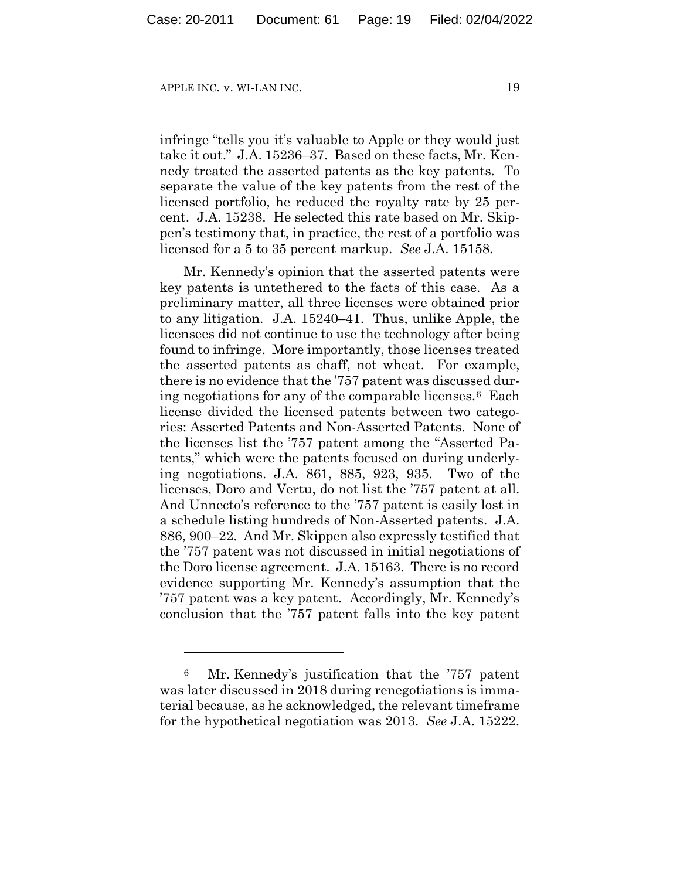APPLE INC. v. WI-LAN INC. 2022 2022 19

infringe "tells you it's valuable to Apple or they would just take it out." J.A. 15236–37. Based on these facts, Mr. Kennedy treated the asserted patents as the key patents. To separate the value of the key patents from the rest of the licensed portfolio, he reduced the royalty rate by 25 percent. J.A. 15238. He selected this rate based on Mr. Skippen's testimony that, in practice, the rest of a portfolio was licensed for a 5 to 35 percent markup. *See* J.A. 15158.

Mr. Kennedy's opinion that the asserted patents were key patents is untethered to the facts of this case. As a preliminary matter, all three licenses were obtained prior to any litigation. J.A. 15240–41. Thus, unlike Apple, the licensees did not continue to use the technology after being found to infringe. More importantly, those licenses treated the asserted patents as chaff, not wheat. For example, there is no evidence that the '757 patent was discussed during negotiations for any of the comparable licenses.6 Each license divided the licensed patents between two categories: Asserted Patents and Non-Asserted Patents. None of the licenses list the '757 patent among the "Asserted Patents," which were the patents focused on during underlying negotiations. J.A. 861, 885, 923, 935. Two of the licenses, Doro and Vertu, do not list the '757 patent at all. And Unnecto's reference to the '757 patent is easily lost in a schedule listing hundreds of Non-Asserted patents. J.A. 886, 900–22. And Mr. Skippen also expressly testified that the '757 patent was not discussed in initial negotiations of the Doro license agreement. J.A. 15163. There is no record evidence supporting Mr. Kennedy's assumption that the '757 patent was a key patent. Accordingly, Mr. Kennedy's conclusion that the '757 patent falls into the key patent

<sup>6</sup> Mr. Kennedy's justification that the '757 patent was later discussed in 2018 during renegotiations is immaterial because, as he acknowledged, the relevant timeframe for the hypothetical negotiation was 2013. *See* J.A. 15222.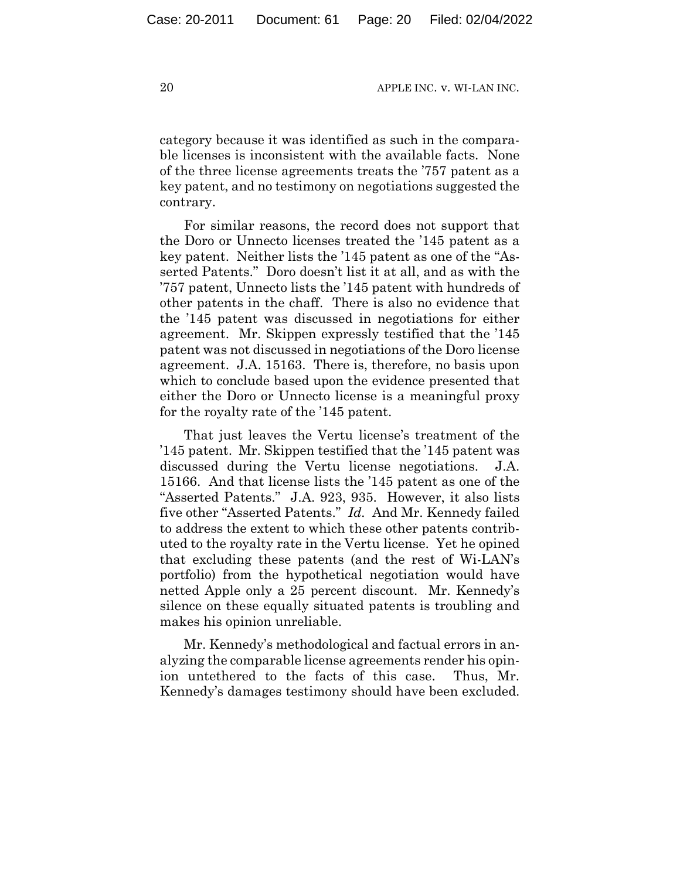category because it was identified as such in the comparable licenses is inconsistent with the available facts. None of the three license agreements treats the '757 patent as a key patent, and no testimony on negotiations suggested the contrary.

For similar reasons, the record does not support that the Doro or Unnecto licenses treated the '145 patent as a key patent. Neither lists the '145 patent as one of the "Asserted Patents." Doro doesn't list it at all, and as with the '757 patent, Unnecto lists the '145 patent with hundreds of other patents in the chaff. There is also no evidence that the '145 patent was discussed in negotiations for either agreement. Mr. Skippen expressly testified that the '145 patent was not discussed in negotiations of the Doro license agreement. J.A. 15163. There is, therefore, no basis upon which to conclude based upon the evidence presented that either the Doro or Unnecto license is a meaningful proxy for the royalty rate of the '145 patent.

That just leaves the Vertu license's treatment of the '145 patent. Mr. Skippen testified that the '145 patent was discussed during the Vertu license negotiations. J.A. 15166. And that license lists the '145 patent as one of the "Asserted Patents." J.A. 923, 935. However, it also lists five other "Asserted Patents." *Id.* And Mr. Kennedy failed to address the extent to which these other patents contributed to the royalty rate in the Vertu license. Yet he opined that excluding these patents (and the rest of Wi-LAN's portfolio) from the hypothetical negotiation would have netted Apple only a 25 percent discount. Mr. Kennedy's silence on these equally situated patents is troubling and makes his opinion unreliable.

Mr. Kennedy's methodological and factual errors in analyzing the comparable license agreements render his opinion untethered to the facts of this case. Thus, Mr. Kennedy's damages testimony should have been excluded.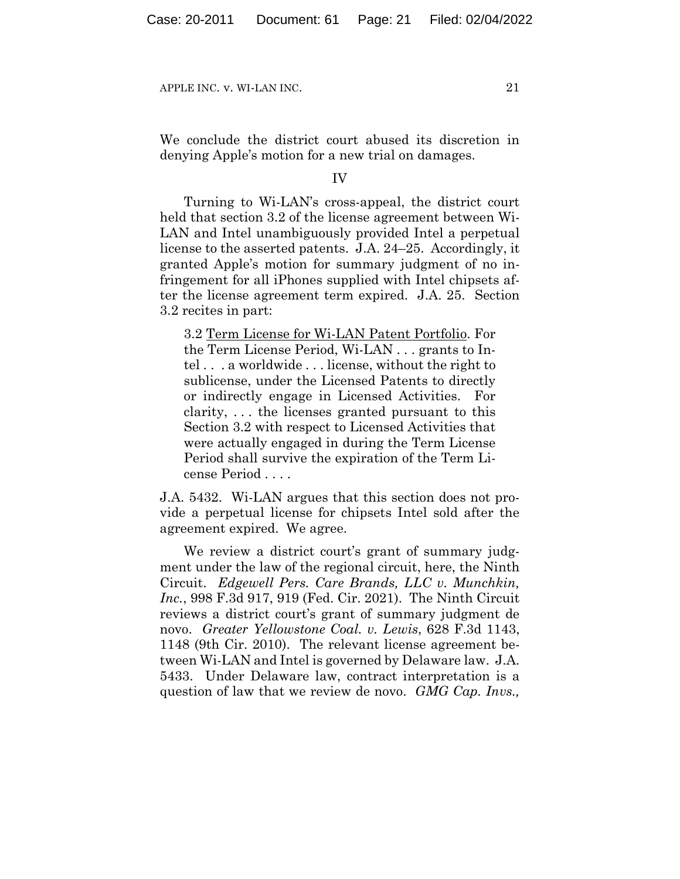We conclude the district court abused its discretion in denying Apple's motion for a new trial on damages.

IV

Turning to Wi-LAN's cross-appeal, the district court held that section 3.2 of the license agreement between Wi-LAN and Intel unambiguously provided Intel a perpetual license to the asserted patents. J.A. 24–25. Accordingly, it granted Apple's motion for summary judgment of no infringement for all iPhones supplied with Intel chipsets after the license agreement term expired. J.A. 25. Section 3.2 recites in part:

3.2 Term License for Wi-LAN Patent Portfolio. For the Term License Period, Wi-LAN . . . grants to Intel . . . a worldwide . . . license, without the right to sublicense, under the Licensed Patents to directly or indirectly engage in Licensed Activities. For clarity, . . . the licenses granted pursuant to this Section 3.2 with respect to Licensed Activities that were actually engaged in during the Term License Period shall survive the expiration of the Term License Period . . . .

J.A. 5432. Wi-LAN argues that this section does not provide a perpetual license for chipsets Intel sold after the agreement expired. We agree.

We review a district court's grant of summary judgment under the law of the regional circuit, here, the Ninth Circuit. *Edgewell Pers. Care Brands, LLC v. Munchkin, Inc.*, 998 F.3d 917, 919 (Fed. Cir. 2021). The Ninth Circuit reviews a district court's grant of summary judgment de novo. *Greater Yellowstone Coal. v. Lewis*, 628 F.3d 1143, 1148 (9th Cir. 2010). The relevant license agreement between Wi-LAN and Intel is governed by Delaware law. J.A. 5433. Under Delaware law, contract interpretation is a question of law that we review de novo. *GMG Cap. Invs.,*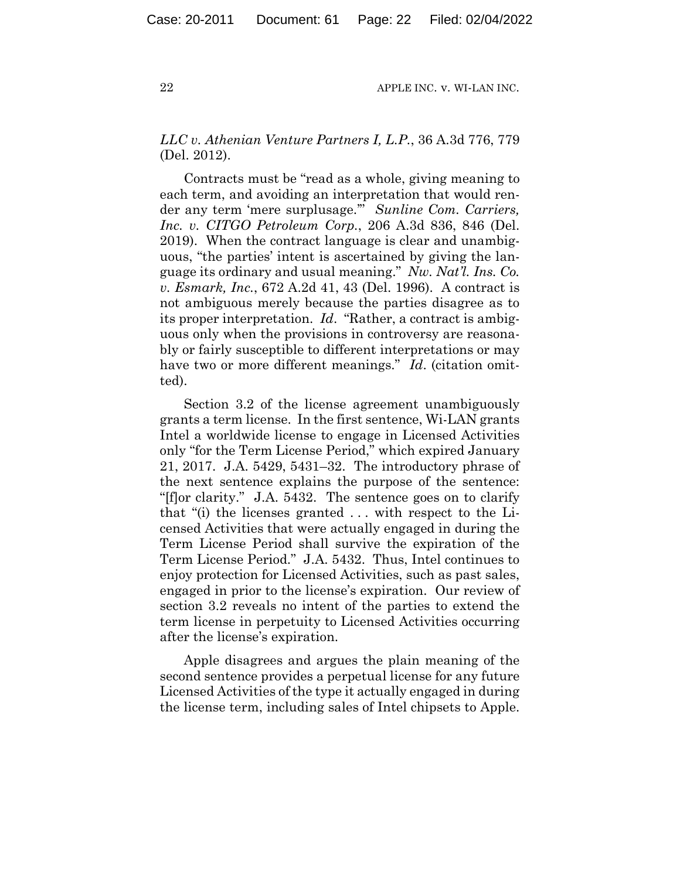# *LLC v. Athenian Venture Partners I, L.P.*, 36 A.3d 776, 779 (Del. 2012).

Contracts must be "read as a whole, giving meaning to each term, and avoiding an interpretation that would render any term 'mere surplusage.'" *Sunline Com. Carriers, Inc. v. CITGO Petroleum Corp.*, 206 A.3d 836, 846 (Del. 2019). When the contract language is clear and unambiguous, "the parties' intent is ascertained by giving the language its ordinary and usual meaning." *Nw. Nat'l. Ins. Co. v. Esmark, Inc.*, 672 A.2d 41, 43 (Del. 1996). A contract is not ambiguous merely because the parties disagree as to its proper interpretation. *Id*. "Rather, a contract is ambiguous only when the provisions in controversy are reasonably or fairly susceptible to different interpretations or may have two or more different meanings." *Id*. (citation omitted).

Section 3.2 of the license agreement unambiguously grants a term license. In the first sentence, Wi-LAN grants Intel a worldwide license to engage in Licensed Activities only "for the Term License Period," which expired January 21, 2017. J.A. 5429, 5431–32. The introductory phrase of the next sentence explains the purpose of the sentence: "[f]or clarity." J.A. 5432. The sentence goes on to clarify that "(i) the licenses granted . . . with respect to the Licensed Activities that were actually engaged in during the Term License Period shall survive the expiration of the Term License Period." J.A. 5432. Thus, Intel continues to enjoy protection for Licensed Activities, such as past sales, engaged in prior to the license's expiration. Our review of section 3.2 reveals no intent of the parties to extend the term license in perpetuity to Licensed Activities occurring after the license's expiration.

Apple disagrees and argues the plain meaning of the second sentence provides a perpetual license for any future Licensed Activities of the type it actually engaged in during the license term, including sales of Intel chipsets to Apple.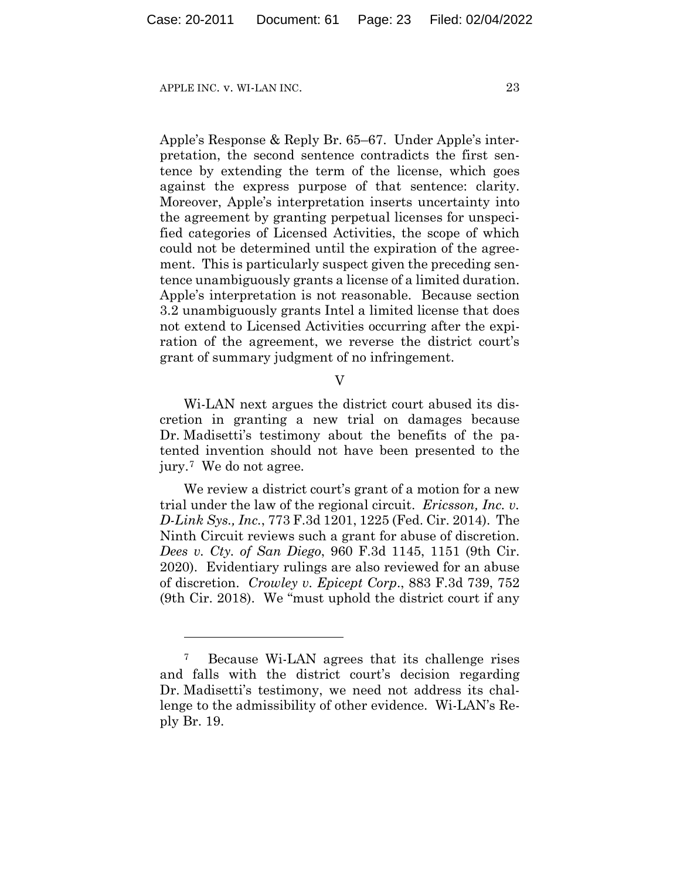Apple's Response & Reply Br. 65–67. Under Apple's interpretation, the second sentence contradicts the first sentence by extending the term of the license, which goes against the express purpose of that sentence: clarity. Moreover, Apple's interpretation inserts uncertainty into the agreement by granting perpetual licenses for unspecified categories of Licensed Activities, the scope of which could not be determined until the expiration of the agreement. This is particularly suspect given the preceding sentence unambiguously grants a license of a limited duration. Apple's interpretation is not reasonable. Because section 3.2 unambiguously grants Intel a limited license that does not extend to Licensed Activities occurring after the expiration of the agreement, we reverse the district court's grant of summary judgment of no infringement.

V

Wi-LAN next argues the district court abused its discretion in granting a new trial on damages because Dr. Madisetti's testimony about the benefits of the patented invention should not have been presented to the jury.7 We do not agree.

We review a district court's grant of a motion for a new trial under the law of the regional circuit. *Ericsson, Inc. v. D-Link Sys., Inc.*, 773 F.3d 1201, 1225 (Fed. Cir. 2014). The Ninth Circuit reviews such a grant for abuse of discretion. *Dees v. Cty. of San Diego*, 960 F.3d 1145, 1151 (9th Cir. 2020). Evidentiary rulings are also reviewed for an abuse of discretion. *Crowley v. Epicept Corp*., 883 F.3d 739, 752 (9th Cir. 2018). We "must uphold the district court if any

<sup>7</sup> Because Wi-LAN agrees that its challenge rises and falls with the district court's decision regarding Dr. Madisetti's testimony, we need not address its challenge to the admissibility of other evidence. Wi-LAN's Reply Br. 19.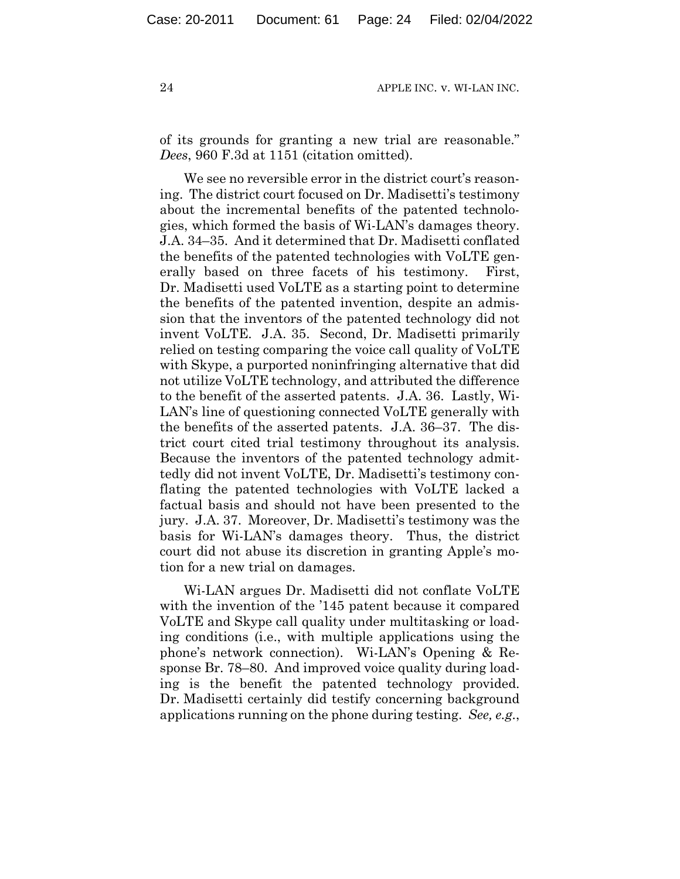of its grounds for granting a new trial are reasonable." *Dees*, 960 F.3d at 1151 (citation omitted).

We see no reversible error in the district court's reasoning. The district court focused on Dr. Madisetti's testimony about the incremental benefits of the patented technologies, which formed the basis of Wi-LAN's damages theory. J.A. 34–35. And it determined that Dr. Madisetti conflated the benefits of the patented technologies with VoLTE generally based on three facets of his testimony. First, Dr. Madisetti used VoLTE as a starting point to determine the benefits of the patented invention, despite an admission that the inventors of the patented technology did not invent VoLTE. J.A. 35. Second, Dr. Madisetti primarily relied on testing comparing the voice call quality of VoLTE with Skype, a purported noninfringing alternative that did not utilize VoLTE technology, and attributed the difference to the benefit of the asserted patents. J.A. 36. Lastly, Wi-LAN's line of questioning connected VoLTE generally with the benefits of the asserted patents. J.A. 36–37. The district court cited trial testimony throughout its analysis. Because the inventors of the patented technology admittedly did not invent VoLTE, Dr. Madisetti's testimony conflating the patented technologies with VoLTE lacked a factual basis and should not have been presented to the jury. J.A. 37. Moreover, Dr. Madisetti's testimony was the basis for Wi-LAN's damages theory. Thus, the district court did not abuse its discretion in granting Apple's motion for a new trial on damages.

Wi-LAN argues Dr. Madisetti did not conflate VoLTE with the invention of the '145 patent because it compared VoLTE and Skype call quality under multitasking or loading conditions (i.e., with multiple applications using the phone's network connection). Wi-LAN's Opening & Response Br. 78–80. And improved voice quality during loading is the benefit the patented technology provided. Dr. Madisetti certainly did testify concerning background applications running on the phone during testing. *See, e.g.*,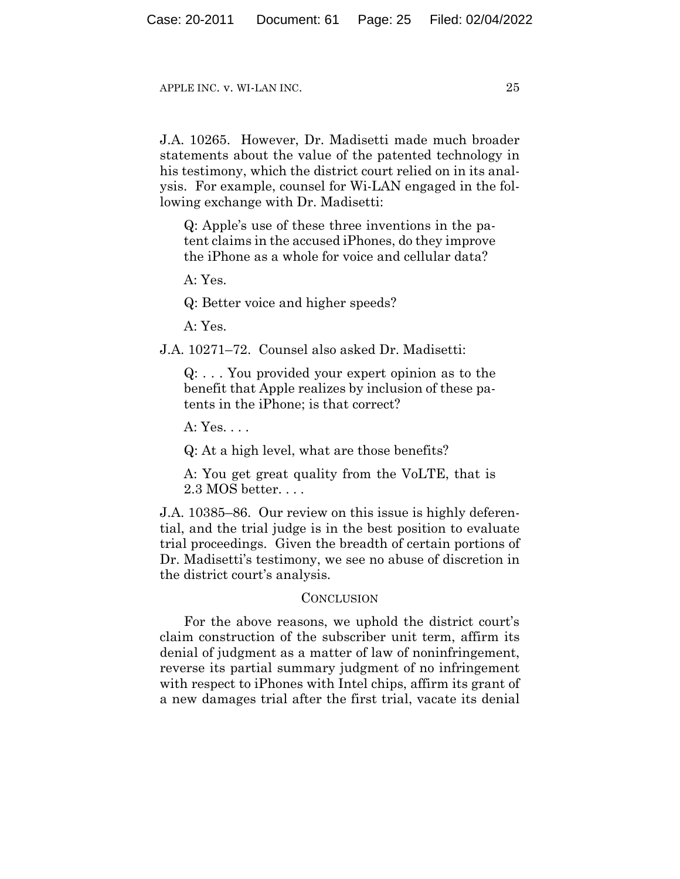J.A. 10265. However, Dr. Madisetti made much broader statements about the value of the patented technology in his testimony, which the district court relied on in its analysis. For example, counsel for Wi-LAN engaged in the following exchange with Dr. Madisetti:

Q: Apple's use of these three inventions in the patent claims in the accused iPhones, do they improve the iPhone as a whole for voice and cellular data?

 $A \cdot Y_{\text{es}}$ 

Q: Better voice and higher speeds?

 $A \cdot Y_{\text{es}}$ 

J.A. 10271–72. Counsel also asked Dr. Madisetti:

Q: . . . You provided your expert opinion as to the benefit that Apple realizes by inclusion of these patents in the iPhone; is that correct?

A: Yes. . . .

Q: At a high level, what are those benefits?

A: You get great quality from the VoLTE, that is 2.3 MOS better. . . .

J.A. 10385–86. Our review on this issue is highly deferential, and the trial judge is in the best position to evaluate trial proceedings. Given the breadth of certain portions of Dr. Madisetti's testimony, we see no abuse of discretion in the district court's analysis.

## **CONCLUSION**

For the above reasons, we uphold the district court's claim construction of the subscriber unit term, affirm its denial of judgment as a matter of law of noninfringement, reverse its partial summary judgment of no infringement with respect to iPhones with Intel chips, affirm its grant of a new damages trial after the first trial, vacate its denial